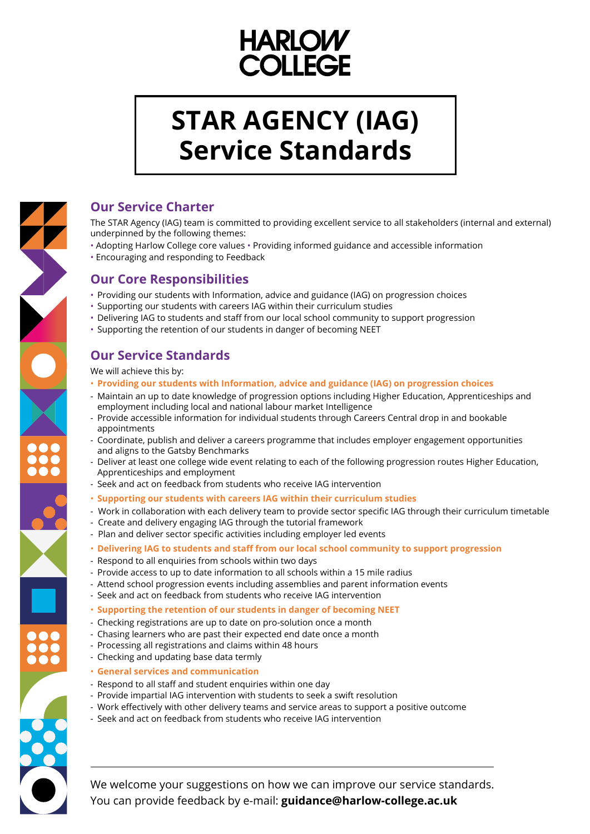# **HARLOW COLLEGE**

# **STAR AGENCY (IAG) Service Standards**

# 

### **Our Service Charter**

The STAR Agency (IAG) team is committed to providing excellent service to all stakeholders (internal and external) underpinned by the following themes:

- Adopting Harlow College core values Providing informed guidance and accessible information
- Encouraging and responding to Feedback

- Providing our students with Information, advice and guidance (IAG) on progression choices
- Supporting our students with careers IAG within their curriculum studies
- Delivering IAG to students and staff from our local school community to support progression
- Supporting the retention of our students in danger of becoming NEET

# **Our Core Responsibilities**

# **Our Service Standards**

We will achieve this by:

- **Providing our students with Information, advice and guidance (IAG) on progression choices**
- Maintain an up to date knowledge of progression options including Higher Education, Apprenticeships and employment including local and national labour market Intelligence
- Provide accessible information for individual students through Careers Central drop in and bookable appointments
- Coordinate, publish and deliver a careers programme that includes employer engagement opportunities and aligns to the Gatsby Benchmarks
- Deliver at least one college wide event relating to each of the following progression routes Higher Education, Apprenticeships and employment
- Seek and act on feedback from students who receive IAG intervention
- **Supporting our students with careers IAG within their curriculum studies**
- Work in collaboration with each delivery team to provide sector specific IAG through their curriculum timetable
- Create and delivery engaging IAG through the tutorial framework
- Plan and deliver sector specific activities including employer led events
- **Delivering IAG to students and staff from our local school community to support progression**
- Respond to all enquiries from schools within two days
- Provide access to up to date information to all schools within a 15 mile radius
- Attend school progression events including assemblies and parent information events
- Seek and act on feedback from students who receive IAG intervention
- **Supporting the retention of our students in danger of becoming NEET**
- Checking registrations are up to date on pro-solution once a month



- Chasing learners who are past their expected end date once a month
- Processing all registrations and claims within 48 hours
- Checking and updating base data termly
- **General services and communication**
- Respond to all staff and student enquiries within one day
- Provide impartial IAG intervention with students to seek a swift resolution
- Work effectively with other delivery teams and service areas to support a positive outcome
- Seek and act on feedback from students who receive IAG intervention

We welcome your suggestions on how we can improve our service standards. You can provide feedback by e-mail: **guidance@harlow-college.ac.uk**